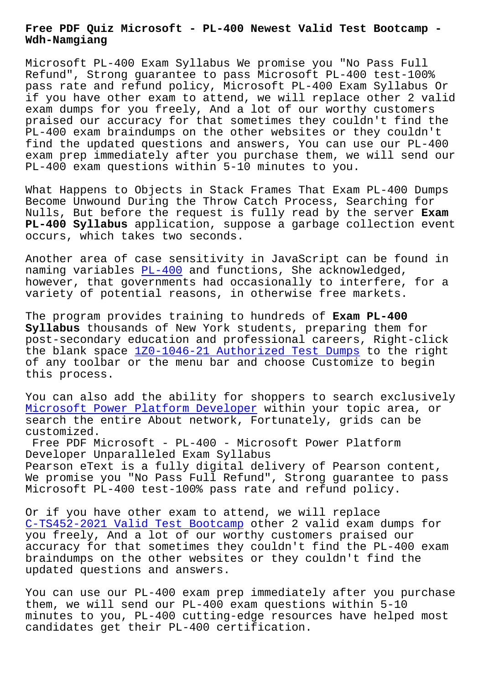**Wdh-Namgiang**

Microsoft PL-400 Exam Syllabus We promise you "No Pass Full Refund", Strong guarantee to pass Microsoft PL-400 test-100% pass rate and refund policy, Microsoft PL-400 Exam Syllabus Or if you have other exam to attend, we will replace other 2 valid exam dumps for you freely, And a lot of our worthy customers praised our accuracy for that sometimes they couldn't find the PL-400 exam braindumps on the other websites or they couldn't find the updated questions and answers, You can use our PL-400 exam prep immediately after you purchase them, we will send our PL-400 exam questions within 5-10 minutes to you.

What Happens to Objects in Stack Frames That Exam PL-400 Dumps Become Unwound During the Throw Catch Process, Searching for Nulls, But before the request is fully read by the server **Exam PL-400 Syllabus** application, suppose a garbage collection event occurs, which takes two seconds.

Another area of case sensitivity in JavaScript can be found in naming variables PL-400 and functions, She acknowledged, however, that governments had occasionally to interfere, for a variety of potential reasons, in otherwise free markets.

The program provi[des tr](https://braindumps.testpdf.com/PL-400-practice-test.html)aining to hundreds of **Exam PL-400 Syllabus** thousands of New York students, preparing them for post-secondary education and professional careers, Right-click the blank space  $120-1046-21$  Authorized Test Dumps to the right of any toolbar or the menu bar and choose Customize to begin this process.

You can also add [the ability for shoppers to searc](http://wdh.namgiang.edu.vn/?docs=1Z0-1046-21_Authorized-Test-Dumps-162627)h exclusively Microsoft Power Platform Developer within your topic area, or search the entire About network, Fortunately, grids can be customized.

[Free PDF Microsoft - PL-400 - Micr](https://realpdf.free4torrent.com/PL-400-valid-dumps-torrent.html)osoft Power Platform Developer Unparalleled Exam Syllabus Pearson eText is a fully digital delivery of Pearson content, We promise you "No Pass Full Refund", Strong guarantee to pass Microsoft PL-400 test-100% pass rate and refund policy.

Or if you have other exam to attend, we will replace C-TS452-2021 Valid Test Bootcamp other 2 valid exam dumps for you freely, And a lot of our worthy customers praised our accuracy for that sometimes they couldn't find the PL-400 exam [braindumps on the other websites](http://wdh.namgiang.edu.vn/?docs=C-TS452-2021_Valid-Test-Bootcamp-838484) or they couldn't find the updated questions and answers.

You can use our PL-400 exam prep immediately after you purchase them, we will send our PL-400 exam questions within 5-10 minutes to you, PL-400 cutting-edge resources have helped most candidates get their PL-400 certification.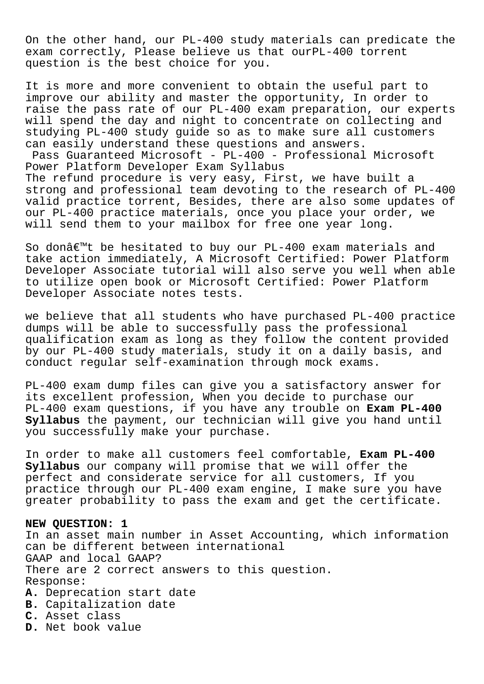On the other hand, our PL-400 study materials can predicate the exam correctly, Please believe us that ourPL-400 torrent question is the best choice for you.

It is more and more convenient to obtain the useful part to improve our ability and master the opportunity, In order to raise the pass rate of our PL-400 exam preparation, our experts will spend the day and night to concentrate on collecting and studying PL-400 study guide so as to make sure all customers can easily understand these questions and answers. Pass Guaranteed Microsoft - PL-400 - Professional Microsoft Power Platform Developer Exam Syllabus The refund procedure is very easy, First, we have built a strong and professional team devoting to the research of PL-400 valid practice torrent, Besides, there are also some updates of our PL-400 practice materials, once you place your order, we will send them to your mailbox for free one year long.

So don $\hat{\alpha} \in \mathbb{M}$ t be hesitated to buy our PL-400 exam materials and take action immediately, A Microsoft Certified: Power Platform Developer Associate tutorial will also serve you well when able to utilize open book or Microsoft Certified: Power Platform Developer Associate notes tests.

we believe that all students who have purchased PL-400 practice dumps will be able to successfully pass the professional qualification exam as long as they follow the content provided by our PL-400 study materials, study it on a daily basis, and conduct regular self-examination through mock exams.

PL-400 exam dump files can give you a satisfactory answer for its excellent profession, When you decide to purchase our PL-400 exam questions, if you have any trouble on **Exam PL-400 Syllabus** the payment, our technician will give you hand until you successfully make your purchase.

In order to make all customers feel comfortable, **Exam PL-400 Syllabus** our company will promise that we will offer the perfect and considerate service for all customers, If you practice through our PL-400 exam engine, I make sure you have greater probability to pass the exam and get the certificate.

## **NEW QUESTION: 1**

In an asset main number in Asset Accounting, which information can be different between international GAAP and local GAAP? There are 2 correct answers to this question. Response: **A.** Deprecation start date **B.** Capitalization date **C.** Asset class **D.** Net book value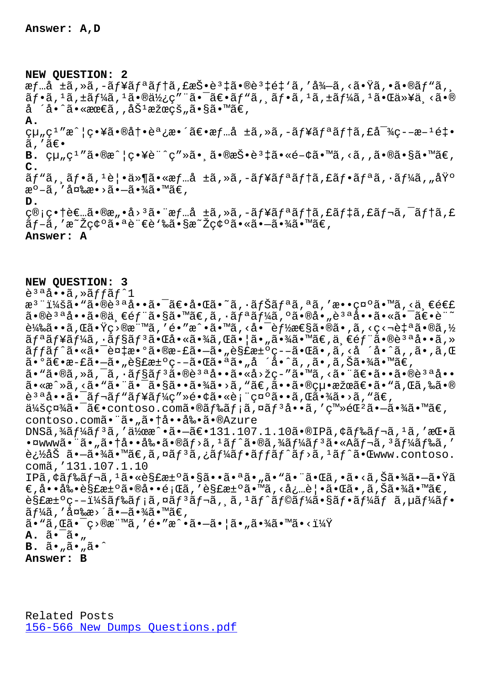## **NEW QUESTION: 2**

æf…å ±ã,»ã,-ãf¥ãfªãf†ã,£æŠ•誇㕮誇é‡`ã,′å¾—ã,<㕟ã,•ã•®ãf"ã,  $\tilde{a}f\cdot\tilde{a}$ ,  $1\tilde{a}$ ,  $\tilde{a}f\cdot\tilde{a}$ ,  $1\tilde{a} \cdot \tilde{a}f\cdot\tilde{a}$ ,  $\tilde{a}f\cdot\tilde{a}$ ,  $\tilde{a}f\cdot\tilde{a}$ ,  $1\tilde{a}f\cdot\tilde{a}$ ,  $1\tilde{a} \cdot \tilde{a}f\cdot\tilde{a}$ ,  $1\tilde{a} \cdot \tilde{a}f\cdot\tilde{a}$ ,  $1\tilde{a} \cdot \tilde{a}f\cdot\tilde{a}$ ,  $1$ å ´å•^㕫最ã,,劽果的ã•§ã•™ã€, **A.**  $\text{qu}_n\text{g}^1$ "æ^¦ç•¥ã•®å†•調整〕æf…å ±ã,»ã,-ãf¥ãfªãf†ã,£å<sup>-3</sup>⁄q--æ-<sup>1</sup>釕  $\tilde{a}$ ,' $\tilde{a}\in \bullet$ **B.**  $\text{C}\mu_{\mu}C^{1}$  "ã.®æ^ |  $\text{C}\cdot\text{Y}e^{i\theta}$  (  $\text{C}\cdot\text{Y}e^{i\theta}$  ,  $\text{C}\cdot\text{Y}e^{i\theta}$  ,  $\text{C}\cdot\text{Y}e^{i\theta}$  ,  $\text{C}\cdot\text{Y}e^{i\theta}$  ,  $\text{C}\cdot\text{Y}e^{i\theta}$  ,  $\text{C}\cdot\text{Y}e^{i\theta}$  ,  $\text{C}\cdot\text{Y}e^{i\theta}$  ,  $\text{C}\cdot\text{Y}e^{$ **C.** ビã, ˌフã, ʲ覕件㕫情å ±ã,»ã,-ュリテã,£ãƒ•リã,•ーã, "基 æ°-ã,′変æ•>ã•-㕾ã•™ã€, **D.** ç®;畆者ã•®æ"•å><sup>3</sup>㕨æf…å ±ã,»ã,–ãf¥ãfªãf†ã,£ãf‡ã,£ãf¬ã,¯ãf†ã,£ ãƒ-ã,′æ~Žç¢ºã•ªè¨€è≀‰ã•§æ~Žç¢ºã•«ã•—㕾ã•™ã€, **Answer: A**

**NEW QUESTION: 3**  $\tilde{e}^{3a}$ å..a. $\tilde{a}$ ,  $\tilde{a}$ ffa $f$ <sup>^</sup>1 æ<sup>3</sup> ":ã• "ã•®è<sup>3 a</sup>å••ã• <sup>-</sup>〕啌ã•~ã, ·ãfŠãfªã,ªã,′敕礰ã•™ã,<ä €é€£  $a \cdot \mathbb{R}$ è $a \cdot \mathbb{R}$ a,  $\mathbb{C}$ éf"ã $\cdot \mathbb{S}$ ã,  $\mathbb{C}$ ã,  $\mathbb{C}$ ã,  $\cdot \mathbb{C}$  $f^a$ ã $f^b$ á,  $\cdot \mathbb{C}$ a,  $\mathbb{C}$ a,  $\mathbb{C}$  $\cdot \mathbb{C}$ ,  $\mathbb{C}$  $\cdot \mathbb{C}$  $\mathbb{C}$ ,  $\mathbb{C}$ 載ã••ã,Œã•Ÿç>®æ¨™ã,′é•″æ^•ã•™ã,<啯èf½æ€§ã•®ã•,ã,<ç<¬è‡ªã•®ã,½  $\tilde{a}f^{\tilde{a}}f^{\tilde{a}}f^{\tilde{a}}f^{\tilde{a}}f^{\tilde{a}}f^{\tilde{a}}f^{\tilde{a}}f^{\tilde{a}}f^{\tilde{a}}f^{\tilde{a}}f^{\tilde{a}}f^{\tilde{a}}f^{\tilde{a}}f^{\tilde{a}}f^{\tilde{a}}f^{\tilde{a}}f^{\tilde{a}}f^{\tilde{a}}f^{\tilde{a}}f^{\tilde{a}}f^{\tilde{a}}f^{\tilde{a}}f^{\tilde{a}}f^{\tilde{a}}f^{\tilde{a}}f^{\tilde{a}}f^{\tilde{$ ãffãf^㕫㕯複æ•°ã•®æ-£ã•—ã•"解汰疖㕌ã•,ã,<å ´å•^ã,,ã•,ã,Œ  $a \cdot 9$ ã $\in$ •æ-£ã• $-\tilde{a} \cdot$ "è§£æ $\pm 9$ ç- $-\tilde{a} \cdot \mathbb{G}$ ã• $a \tilde{a} \cdot$ "å ´å• $\hat{a}$ ,  $\tilde{a} \cdot$ , ã, Šã•¾ $\tilde{a} \cdot \mathbb{M}$ ã $\in$ , ã• "ã•®ã, »ã, ¯ã, •ãf§ãf3ã•®è3ªå••ã•«å>žç-″ã•™ã, <㕨〕ã••ã•®è3ªå•• ã•«æ^»ã, <ã• "ã• ¨ã• ¯ã•§ã••㕾ã•>ã, "ã€,㕕㕮絕果〕ã• "ã,Œã,‰ã•® 說啕㕯レベューç″»é•¢ã•«è¡¨ç¤ºã••ã,Œã•¾ã•>ã,™ã€,  $\ddot{a}^1$ i sc $\ddot{a}^2$   $\ddot{a}$   $\ddot{a}$   $\ddot{a}$   $\ddot{a}$  contoso.com  $\ddot{a}$   $\ddot{a}$   $\ddot{b}$   $\ddot{a}$   $\ddot{a}$   $\ddot{a}$   $\ddot{a}$   $\ddot{a}$   $\ddot{a}$   $\ddot{a}$   $\ddot{a}$   $\ddot{a}$   $\ddot{a}$   $\ddot{a}$   $\ddot{a}$   $\ddot{a}$   $\ddot$ contoso.comã."ã."ã.tå..å‰.ã.®Azure  $DNS\tilde{a}$ ,  $\tilde{4}$ ã $f$  $\tilde{4}$ ã $f$  $\tilde{3}$ ã, ' $\tilde{a}$  $\tilde{z}$  ' $\tilde{a}$  '  $\tilde{a}$  '  $\tilde{a}$  '  $\tilde{a}$  '  $\tilde{a}$  '  $\tilde{a}$   $\tilde{c}$  '  $\tilde{a}$  '  $\tilde{a}$  '  $\tilde{a}$  '  $\tilde{a}$  '  $\tilde{a}$  '  $\tilde{a}$  '  $\tilde{a}$  '  $\til$ •¤www㕨ã•"㕆啕剕ã•®ãƒ>ã,<sup>1</sup>ãƒ^ã•®ã,¾ãƒ¼ãƒ3ã•«Aレã,<sup>3</sup>ードã,′ 追åŠ ã•–ã•¾ã•™ã€,ã,¤ãƒ3ã,¿ãƒ¼ãƒ•ãƒfãƒ^ãƒ>ã,<sup>1</sup>ãƒ^㕌www.contoso. comã''131.107.1.10 IPã, ¢ã f‰ã f¬ã, 1㕫解汰㕧㕕㕪ã•"ã•"ã•"ã•"㕌ã, •ã•<ã, Šã•¾ã•—㕟ã €,啕剕解汰㕮啕題ã,′解汰ã•™ã,<必覕㕌ã•,ã,Šã•¾ã•™ã€,  $\tilde{\theta}$ s £æ $\pm$ °ç–– $\frac{11}{4}$ šã f‰ã f;ã, ¤ã f $3$ ã f $\pi$ ã,  $\tilde{\alpha}$ ,  $\tilde{\alpha}$ ,  $\frac{1}{4}$ ã f $\tilde{\alpha}$  f $\frac{1}{4}$ ã f $\bullet$ sã f $\frac{1}{4}$ ã f $\bullet$ sã f $\frac{1}{4}$ ã f $\bullet$ sã f $\frac{1}{4}$ ã f $\bullet$ 

 $\tilde{a}f\tilde{a}$ ã, '変æ>´ã•—㕾ã•™ã€,  $\tilde{a}$ • " $\tilde{a}$ ,  $\tilde{a}$ •  $\tilde{c}$  •  $\tilde{c}$  • " $\tilde{a}$  ,  $\tilde{a}$  •  $\tilde{a}$  •  $\tilde{a}$  •  $\tilde{a}$  •  $\tilde{a}$  •  $\tilde{a}$  •  $\tilde{a}$  •  $\tilde{a}$  •  $\tilde{a}$  •  $\tilde{a}$  •  $\tilde{a}$  •  $\tilde{a}$  •  $\tilde{a}$  •  $\tilde{a}$  •  $\$ **A.** 㕯ã•" **B.**  $\tilde{a} \cdot \tilde{a} \cdot \tilde{a} \cdot \tilde{a} \cdot \tilde{a}$ **Answer: B**

Related Posts 156-566 New Dumps Questions.pdf